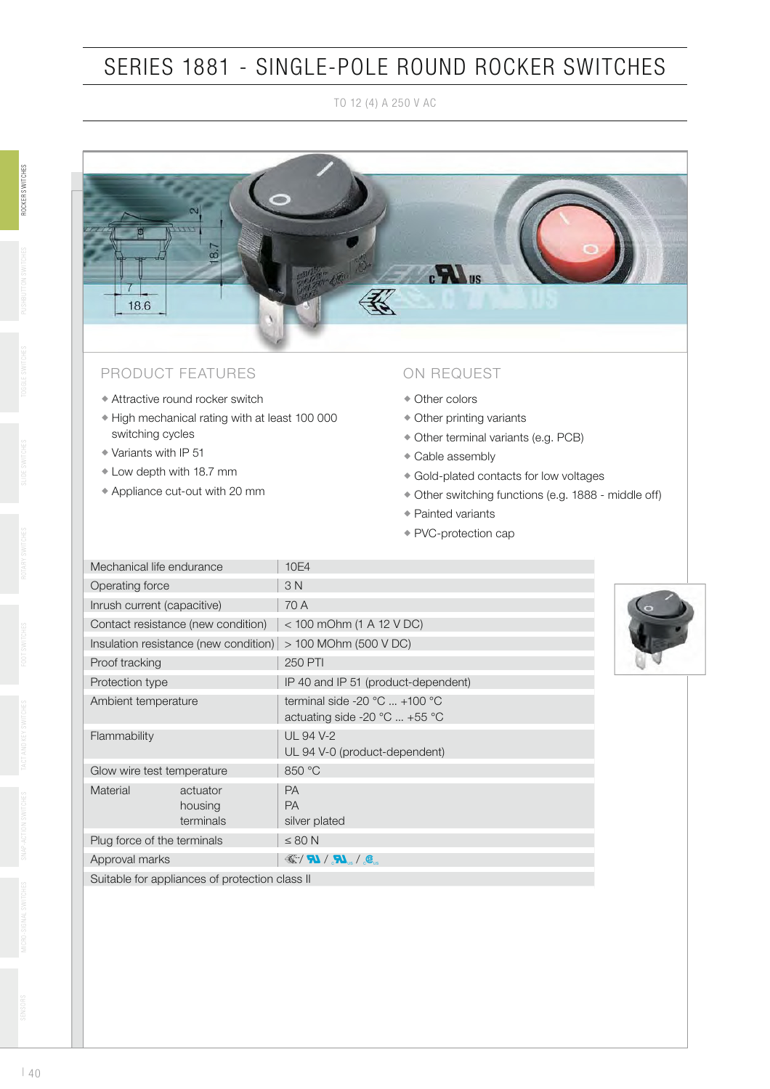## SERIES 1881 - SINGLE-POLE ROUND ROCKER SWITCHES

TO 12 (4) A 250 V AC



### PRODUCT FEATURES

- Attractive round rocker switch
- High mechanical rating with at least 100 000 switching cycles
- Variants with IP 51
- Low depth with 18.7 mm
- Appliance cut-out with 20 mm

#### ON REQUEST

- Other colors
- Other printing variants
- Other terminal variants (e.g. PCB)
- Cable assembly
- Gold-plated contacts for low voltages
- Other switching functions (e.g. 1888 middle off)
- Painted variants
- PVC-protection cap

| Mechanical life endurance                    |                                                                                           | 10E4                                                                                                   |  |
|----------------------------------------------|-------------------------------------------------------------------------------------------|--------------------------------------------------------------------------------------------------------|--|
| Operating force                              |                                                                                           | 3N                                                                                                     |  |
| Inrush current (capacitive)                  |                                                                                           | 70 A                                                                                                   |  |
| Contact resistance (new condition)           |                                                                                           | $<$ 100 mOhm (1 A 12 V DC)                                                                             |  |
| Insulation resistance (new condition)        |                                                                                           | > 100 MOhm (500 V DC)                                                                                  |  |
| Proof tracking                               |                                                                                           | <b>250 PTI</b>                                                                                         |  |
| Protection type                              |                                                                                           | IP 40 and IP 51 (product-dependent)                                                                    |  |
| Ambient temperature                          |                                                                                           | terminal side -20 $^{\circ}$ C  +100 $^{\circ}$ C<br>actuating side -20 $^{\circ}$ C  +55 $^{\circ}$ C |  |
| Flammability                                 |                                                                                           | <b>UL 94 V-2</b><br>UL 94 V-0 (product-dependent)                                                      |  |
| Glow wire test temperature                   |                                                                                           | 850 °C                                                                                                 |  |
| Material<br>actuator<br>housing<br>terminals |                                                                                           | PA<br><b>PA</b><br>silver plated                                                                       |  |
| Plug force of the terminals                  |                                                                                           | $\leq 80$ N                                                                                            |  |
| Approval marks                               |                                                                                           | $\mathcal{L}/\mathbf{N}/\mathbf{N}$ , $\mathcal{L}$                                                    |  |
|                                              | $\Omega$ , the letter from a constitution of $\Omega$ , and is extended as a state of the |                                                                                                        |  |

Suitable for appliances of protection class II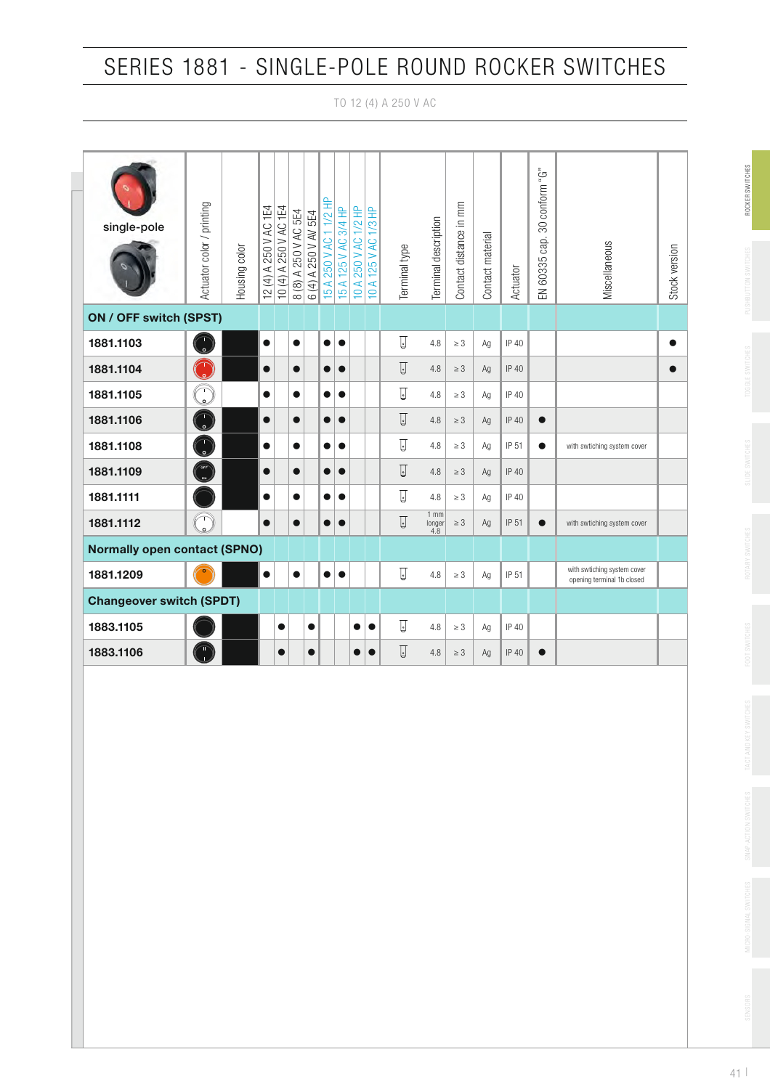## SERIES 1881 - SINGLE-POLE ROUND ROCKER SWITCHES

TO 12 (4) A 250 V AC

| single-pole                         | Actuator color / printing              | <b>Housing color</b> | 12 (4) A 250 V AC 1E4 | 250 V AC 1E4<br>$10(4)$ A | A 250 V AC 5E4<br>8(8) | 6 (4) A 250 V AV 5E4 | 250 V AC 1 1/2 HP<br>15A | 125 V AC 3/4 HP<br>15A | E<br>$\overline{\mathcal{C}}$<br>250 V AC<br>10A | 1/3 HP<br>10 A 125 V AC | Terminal type  | Terminal description    | Contact distance in mm | Contact material | Actuator     | EN 60335 cap. 30 conform "G" | Miscellaneous                                             | Stock version |
|-------------------------------------|----------------------------------------|----------------------|-----------------------|---------------------------|------------------------|----------------------|--------------------------|------------------------|--------------------------------------------------|-------------------------|----------------|-------------------------|------------------------|------------------|--------------|------------------------------|-----------------------------------------------------------|---------------|
| ON / OFF switch (SPST)              |                                        |                      |                       |                           |                        |                      |                          |                        |                                                  |                         |                |                         |                        |                  |              |                              |                                                           |               |
| 1881.1103                           | $\frac{1}{\circ}$                      |                      | $\bullet$             |                           | $\bullet$              |                      | $\bullet$                | $\bullet$              |                                                  |                         | $\Box$         | 4.8                     | $\geq 3$               | Ag               | IP 40        |                              |                                                           | $\bullet$     |
| 1881.1104                           | $\begin{pmatrix} 1 \\ 2 \end{pmatrix}$ |                      | $\bullet$             |                           | $\bullet$              |                      | $\bullet$                | $\bullet$              |                                                  |                         | $\overline{u}$ | 4.8                     | $\geq 3$               | Ag               | IP 40        |                              |                                                           | $\bullet$     |
| 1881.1105                           | 一<br>。                                 |                      | $\bullet$             |                           | $\bullet$              |                      | $\bullet$                | $\bullet$              |                                                  |                         | ⊍              | 4.8                     | $\geq 3$               | Ag               | IP 40        |                              |                                                           |               |
| 1881.1106                           | $\frac{1}{\circ}$                      |                      | $\bullet$             |                           | $\bullet$              |                      | $\bullet$                | $\bullet$              |                                                  |                         | IJ             | 4.8                     | $\geq 3$               | Ag               | IP 40        | $\bullet$                    |                                                           |               |
| 1881.1108                           | 一<br>。                                 |                      | $\bullet$             |                           | $\bullet$              |                      | ●                        | $\bullet$              |                                                  |                         | IJ             | 4.8                     | $\geq 3$               | Ag               | IP 51        | $\bullet$                    | with swtiching system cover                               |               |
| 1881.1109                           | OFF                                    |                      | $\bullet$             |                           | $\bullet$              |                      | 0                        | $\bullet$              |                                                  |                         | IJ             | 4.8                     | $\geq 3$               | Ag               | <b>IP 40</b> |                              |                                                           |               |
| 1881.1111                           |                                        |                      | $\bullet$             |                           | $\bullet$              |                      | 0                        | $\bullet$              |                                                  |                         | Ţ              | 4.8                     | $\geq 3$               | Ag               | IP 40        |                              |                                                           |               |
| 1881.1112                           | $\bigcirc$                             |                      | $\bullet$             |                           | $\bullet$              |                      | 0                        | $\bullet$              |                                                  |                         | IJ             | $1$ mm<br>longer<br>4.8 | $\geq 3$               | Ag               | IP 51        | $\bullet$                    | with swtiching system cover                               |               |
| <b>Normally open contact (SPNO)</b> |                                        |                      |                       |                           |                        |                      |                          |                        |                                                  |                         |                |                         |                        |                  |              |                              |                                                           |               |
| 1881.1209                           |                                        |                      | $\bullet$             |                           | $\bullet$              |                      | $\bullet$                | $\bullet$              |                                                  |                         | ▯              | 4.8                     | $\geq 3$               | Ag               | IP 51        |                              | with swtiching system cover<br>opening terminal 1b closed |               |
| <b>Changeover switch (SPDT)</b>     |                                        |                      |                       |                           |                        |                      |                          |                        |                                                  |                         |                |                         |                        |                  |              |                              |                                                           |               |
| 1883.1105                           |                                        |                      |                       | $\bullet$                 |                        | $\bullet$            |                          |                        | 0                                                | $\bullet$               | IJ             | 4.8                     | $\geq 3$               | Ag               | IP 40        |                              |                                                           |               |
| 1883.1106                           | T<br>J                                 |                      |                       | $\bullet$                 |                        | $\bullet$            |                          |                        | $\bullet$                                        | $\bullet$               | IJ             | 4.8                     | $\geq 3$               | Ag               | IP 40        | $\bullet$                    |                                                           |               |
|                                     |                                        |                      |                       |                           |                        |                      |                          |                        |                                                  |                         |                |                         |                        |                  |              |                              |                                                           |               |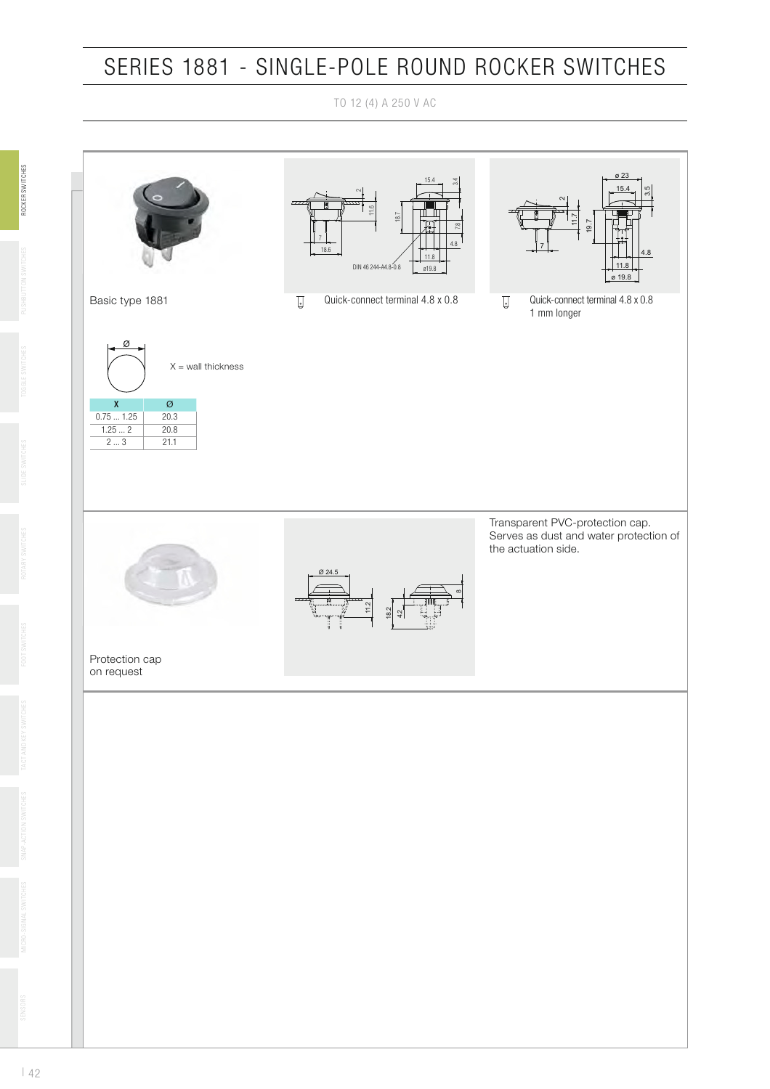### SERIES 1881 - SINGLE-POLE ROUND ROCKER SWITCHES

TO 12 (4) A 250 V AC